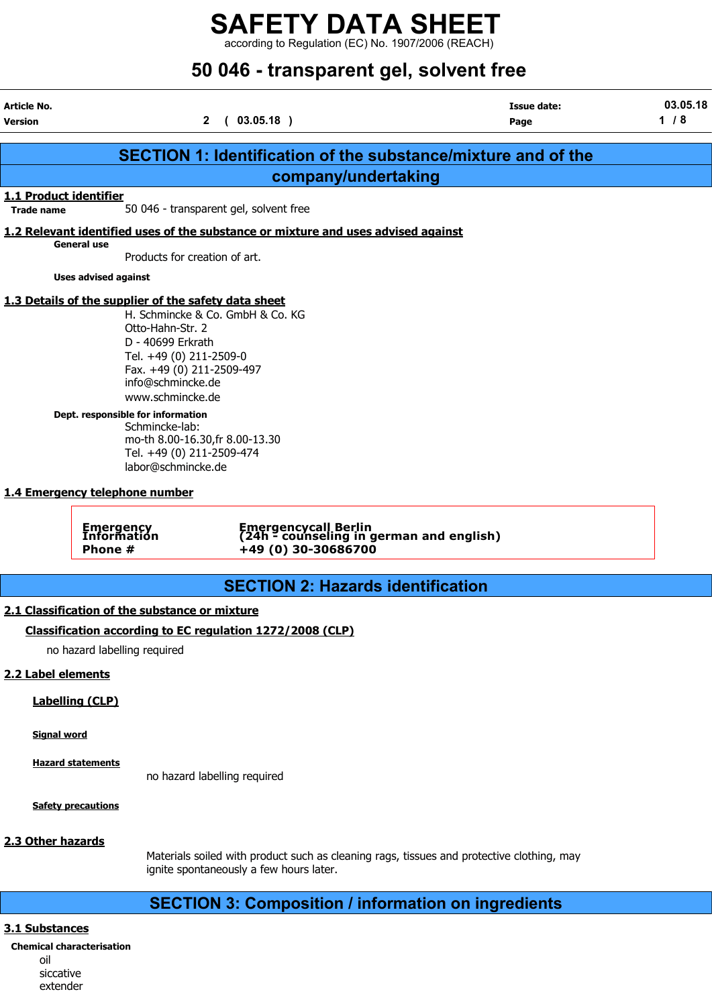according to Regulation (EC) No. 1907/2006 (REACH)

# 50 046 - transparent gel, solvent free

| Article No.<br><b>Version</b>            |                                                                                                                                                                                                                                                                                                                                                                                          | $\mathbf{2}$<br>(03.05.18)                                                                                                                                     | <b>Issue date:</b><br>Page                                           | 03.05.18<br>1/8 |
|------------------------------------------|------------------------------------------------------------------------------------------------------------------------------------------------------------------------------------------------------------------------------------------------------------------------------------------------------------------------------------------------------------------------------------------|----------------------------------------------------------------------------------------------------------------------------------------------------------------|----------------------------------------------------------------------|-----------------|
|                                          |                                                                                                                                                                                                                                                                                                                                                                                          |                                                                                                                                                                | <b>SECTION 1: Identification of the substance/mixture and of the</b> |                 |
|                                          |                                                                                                                                                                                                                                                                                                                                                                                          | company/undertaking                                                                                                                                            |                                                                      |                 |
| 1.1 Product identifier                   |                                                                                                                                                                                                                                                                                                                                                                                          |                                                                                                                                                                |                                                                      |                 |
| <b>Trade name</b>                        |                                                                                                                                                                                                                                                                                                                                                                                          | 50 046 - transparent gel, solvent free                                                                                                                         |                                                                      |                 |
|                                          |                                                                                                                                                                                                                                                                                                                                                                                          | 1.2 Relevant identified uses of the substance or mixture and uses advised against                                                                              |                                                                      |                 |
|                                          | <b>General use</b><br>Products for creation of art.                                                                                                                                                                                                                                                                                                                                      |                                                                                                                                                                |                                                                      |                 |
|                                          | <b>Uses advised against</b>                                                                                                                                                                                                                                                                                                                                                              |                                                                                                                                                                |                                                                      |                 |
|                                          | 1.3 Details of the supplier of the safety data sheet<br>Otto-Hahn-Str. 2<br>D - 40699 Erkrath<br>Tel. +49 (0) 211-2509-0<br>Fax. +49 (0) 211-2509-497<br>info@schmincke.de<br>www.schmincke.de<br>Dept. responsible for information<br>Schmincke-lab:<br>Tel. +49 (0) 211-2509-474<br>labor@schmincke.de<br>1.4 Emergency telephone number<br><b>Emergency</b><br>Information<br>Phone # | H. Schmincke & Co. GmbH & Co. KG<br>mo-th 8.00-16.30, fr 8.00-13.30<br>Emergencycall Berlin<br>(24h - counseling in german and english)<br>+49 (0) 30-30686700 |                                                                      |                 |
|                                          |                                                                                                                                                                                                                                                                                                                                                                                          |                                                                                                                                                                |                                                                      |                 |
|                                          |                                                                                                                                                                                                                                                                                                                                                                                          | <b>SECTION 2: Hazards identification</b>                                                                                                                       |                                                                      |                 |
| 2.2 Label elements<br><b>Signal word</b> | 2.1 Classification of the substance or mixture<br>no hazard labelling required<br><b>Labelling (CLP)</b><br><b>Hazard statements</b>                                                                                                                                                                                                                                                     | Classification according to EC regulation 1272/2008 (CLP)<br>no hazard labelling required                                                                      |                                                                      |                 |

Safety precautions

#### 2.3 Other hazards

Materials soiled with product such as cleaning rags, tissues and protective clothing, may ignite spontaneously a few hours later.

## SECTION 3: Composition / information on ingredients

#### 3.1 Substances

Chemical characterisation oil siccative extender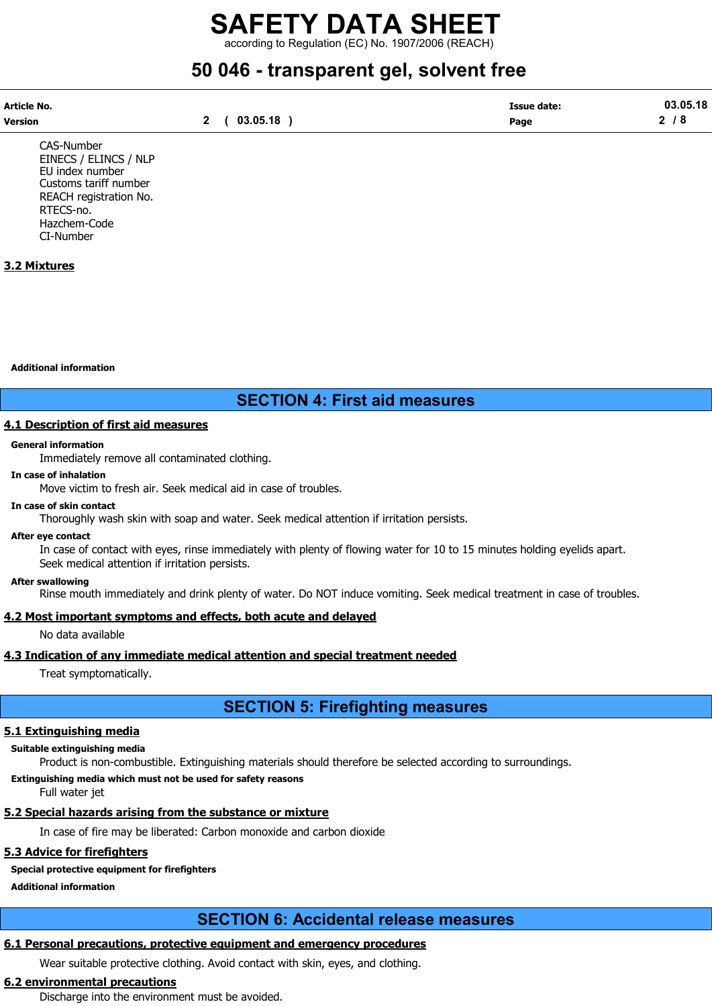# SAFETY DATA SHEET according to Regulation (EC) No. 1907/2006 (REACH)

# 50 046 - transparent gel, solvent free

| Article No. |               | <b>Issue date:</b> | 03.05.18 |
|-------------|---------------|--------------------|----------|
| Version     | 03.05.18<br>_ | Page               | ◠<br>O.  |

CAS-Number EINECS / ELINCS / NLP EU index number Customs tariff number REACH registration No. RTECS-no. Hazchem-Code CI-Number

#### 3.2 Mixtures

Additional information

### SECTION 4: First aid measures

#### 4.1 Description of first aid measures

#### General information

Immediately remove all contaminated clothing.

#### In case of inhalation

Move victim to fresh air. Seek medical aid in case of troubles.

#### In case of skin contact

Thoroughly wash skin with soap and water. Seek medical attention if irritation persists.

#### After eye contact

In case of contact with eyes, rinse immediately with plenty of flowing water for 10 to 15 minutes holding eyelids apart. Seek medical attention if irritation persists.

#### After swallowing

Rinse mouth immediately and drink plenty of water. Do NOT induce vomiting. Seek medical treatment in case of troubles.

#### 4.2 Most important symptoms and effects, both acute and delayed

No data available

### 4.3 Indication of any immediate medical attention and special treatment needed

Treat symptomatically.

# SECTION 5: Firefighting measures

### 5.1 Extinguishing media

Suitable extinguishing media

Product is non-combustible. Extinguishing materials should therefore be selected according to surroundings.

Extinguishing media which must not be used for safety reasons

Full water jet

### 5.2 Special hazards arising from the substance or mixture

In case of fire may be liberated: Carbon monoxide and carbon dioxide

## 5.3 Advice for firefighters

# Special protective equipment for firefighters

Additional information

# SECTION 6: Accidental release measures

# 6.1 Personal precautions, protective equipment and emergency procedures

Wear suitable protective clothing. Avoid contact with skin, eyes, and clothing.

# 6.2 environmental precautions

Discharge into the environment must be avoided.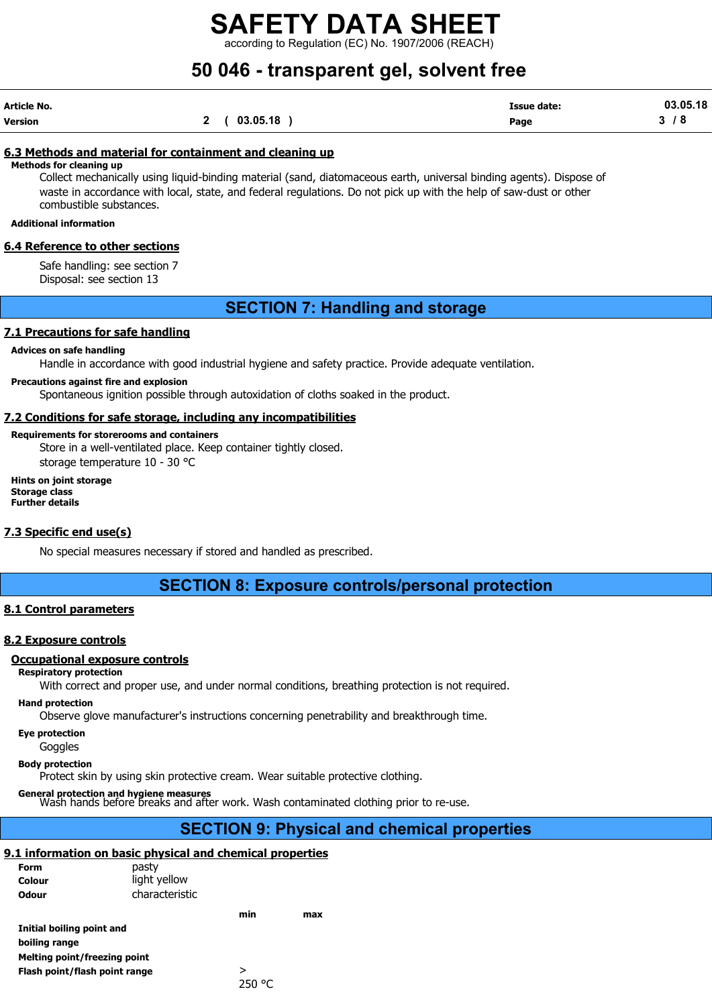according to Regulation (EC) No. 1907/2006 (REACH)

# 50 046 - transparent gel, solvent free

| Article No. |              | <b>Issue date:</b> | 03.05.18 |
|-------------|--------------|--------------------|----------|
| Version     | 2 ( 03.05.18 | Page               | 3/8      |

#### 6.3 Methods and material for containment and cleaning up

Methods for cleaning up

Collect mechanically using liquid-binding material (sand, diatomaceous earth, universal binding agents). Dispose of waste in accordance with local, state, and federal regulations. Do not pick up with the help of saw-dust or other combustible substances.

#### Additional information

#### 6.4 Reference to other sections

Safe handling: see section 7 Disposal: see section 13

### SECTION 7: Handling and storage

#### 7.1 Precautions for safe handling

#### Advices on safe handling

Handle in accordance with good industrial hygiene and safety practice. Provide adequate ventilation.

#### Precautions against fire and explosion

Spontaneous ignition possible through autoxidation of cloths soaked in the product.

#### 7.2 Conditions for safe storage, including any incompatibilities

#### Requirements for storerooms and containers

Store in a well-ventilated place. Keep container tightly closed. storage temperature 10 - 30 °C

Hints on joint storage Storage class Further details

#### 7.3 Specific end use(s)

No special measures necessary if stored and handled as prescribed.

#### SECTION 8: Exposure controls/personal protection

#### 8.1 Control parameters

#### 8.2 Exposure controls

#### Occupational exposure controls

#### Respiratory protection

With correct and proper use, and under normal conditions, breathing protection is not required.

#### Hand protection

Observe glove manufacturer's instructions concerning penetrability and breakthrough time.

Eye protection

Goggles

Body protection

Protect skin by using skin protective cream. Wear suitable protective clothing.

General protection and hygiene measures<br>Wash hands before breaks and after work. Wash contaminated clothing prior to re-use.

### SECTION 9: Physical and chemical properties

## 9.1 information on basic physical and chemical properties

| Form<br>Colour<br>Odour                       | pasty<br>light yellow<br>characteristic |     |     |
|-----------------------------------------------|-----------------------------------------|-----|-----|
|                                               |                                         | min | max |
| Initial boiling point and                     |                                         |     |     |
| boiling range<br>Melting point/freezing point |                                         |     |     |
| Flash point/flash point range                 |                                         | >   |     |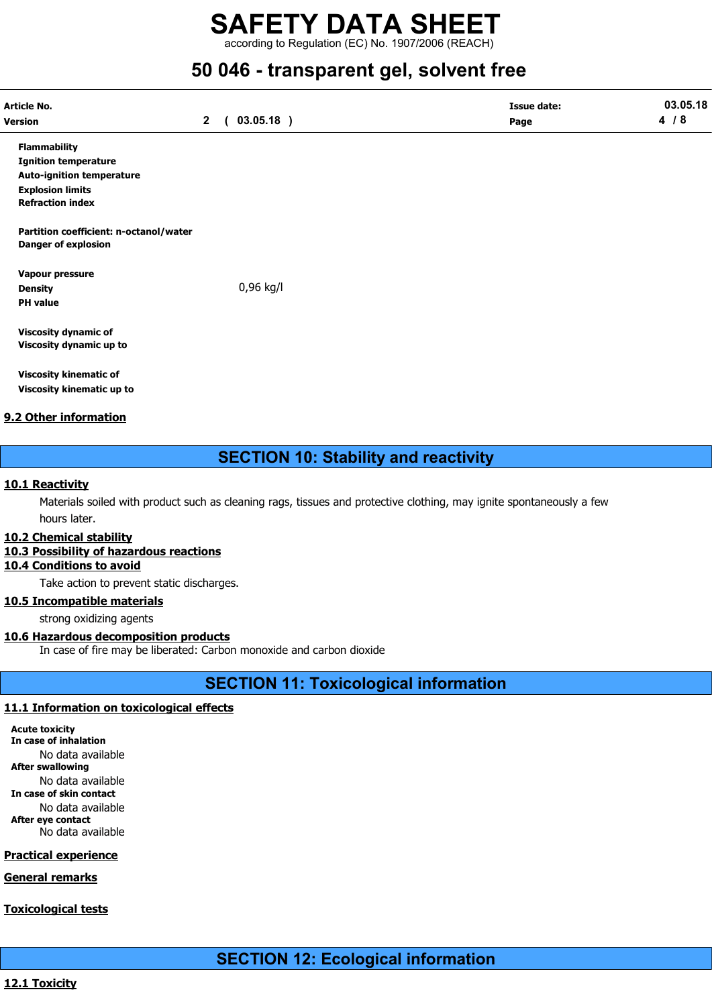according to Regulation (EC) No. 1907/2006 (REACH)

# 50 046 - transparent gel, solvent free

| Article No.                            |              |              | <b>Issue date:</b> | 03.05.18 |
|----------------------------------------|--------------|--------------|--------------------|----------|
| Version                                | $\mathbf{2}$ | $03.05.18$ ) | Page               | 4/8      |
| <b>Flammability</b>                    |              |              |                    |          |
| <b>Ignition temperature</b>            |              |              |                    |          |
| <b>Auto-ignition temperature</b>       |              |              |                    |          |
| <b>Explosion limits</b>                |              |              |                    |          |
| <b>Refraction index</b>                |              |              |                    |          |
| Partition coefficient: n-octanol/water |              |              |                    |          |
| <b>Danger of explosion</b>             |              |              |                    |          |
| Vapour pressure                        |              |              |                    |          |
| <b>Density</b>                         |              | 0,96 kg/l    |                    |          |
| <b>PH</b> value                        |              |              |                    |          |
| <b>Viscosity dynamic of</b>            |              |              |                    |          |
| Viscosity dynamic up to                |              |              |                    |          |
|                                        |              |              |                    |          |

Viscosity kinematic of Viscosity kinematic up to

#### 9.2 Other information

## SECTION 10: Stability and reactivity

#### 10.1 Reactivity

Materials soiled with product such as cleaning rags, tissues and protective clothing, may ignite spontaneously a few hours later.

#### 10.2 Chemical stability

#### 10.3 Possibility of hazardous reactions

#### 10.4 Conditions to avoid

Take action to prevent static discharges.

#### 10.5 Incompatible materials

strong oxidizing agents

#### 10.6 Hazardous decomposition products

In case of fire may be liberated: Carbon monoxide and carbon dioxide

## SECTION 11: Toxicological information

#### 11.1 Information on toxicological effects

Acute toxicity In case of inhalation No data available After swallowing No data available In case of skin contact No data available After eye contact No data available

#### Practical experience

#### General remarks

#### Toxicological tests

SECTION 12: Ecological information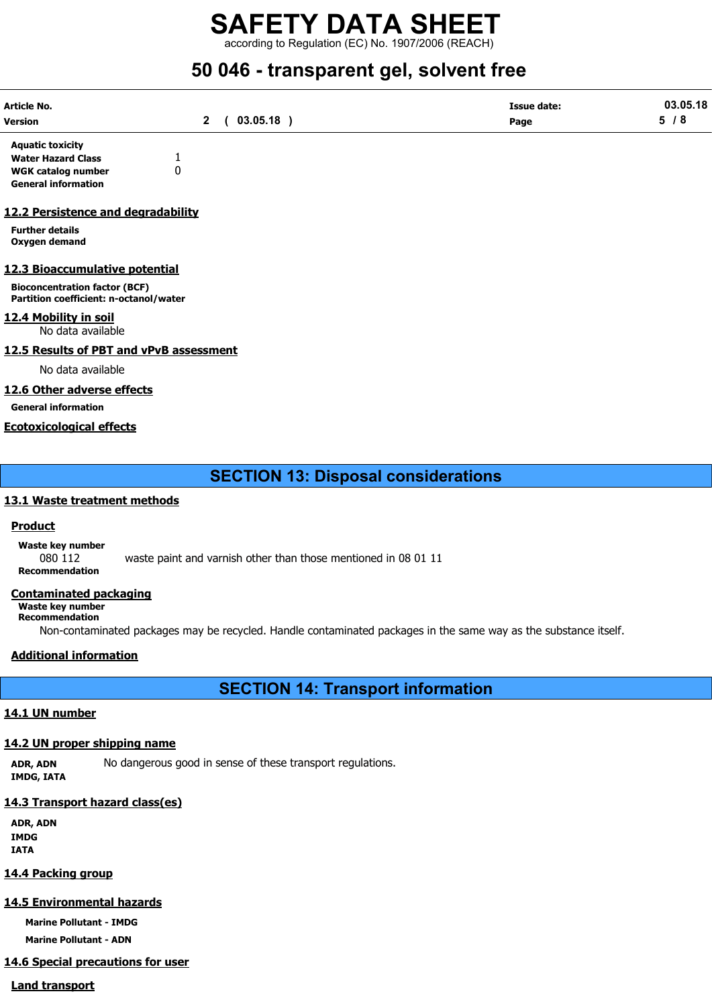according to Regulation (EC) No. 1907/2006 (REACH)

# 50 046 - transparent gel, solvent free

| Article No. |          | <b>Issue date:</b> | 03.05.18            |
|-------------|----------|--------------------|---------------------|
| Version     | 03.05.18 | Page               | -<br>0<br>$\bullet$ |

Aquatic toxicity Water Hazard Class 1 WGK catalog number 0 General information

#### 12.2 Persistence and degradability

Further details Oxygen demand

#### 12.3 Bioaccumulative potential

Bioconcentration factor (BCF) Partition coefficient: n-octanol/water

#### 12.4 Mobility in soil

No data available

#### 12.5 Results of PBT and vPvB assessment

No data available

#### 12.6 Other adverse effects

General information

#### Ecotoxicological effects

### SECTION 13: Disposal considerations

#### 13.1 Waste treatment methods

#### **Product**

Waste key number 080 112 waste paint and varnish other than those mentioned in 08 01 11 Recommendation

#### Contaminated packaging

Waste key number Recommendation

Non-contaminated packages may be recycled. Handle contaminated packages in the same way as the substance itself.

#### Additional information

SECTION 14: Transport information

#### 14.1 UN number

#### 14.2 UN proper shipping name

ADR, ADN No dangerous good in sense of these transport regulations. IMDG, IATA

#### 14.3 Transport hazard class(es)

ADR, ADN IMDG IATA

### 14.4 Packing group

### 14.5 Environmental hazards

Marine Pollutant - IMDG Marine Pollutant - ADN

# 14.6 Special precautions for user

# Land transport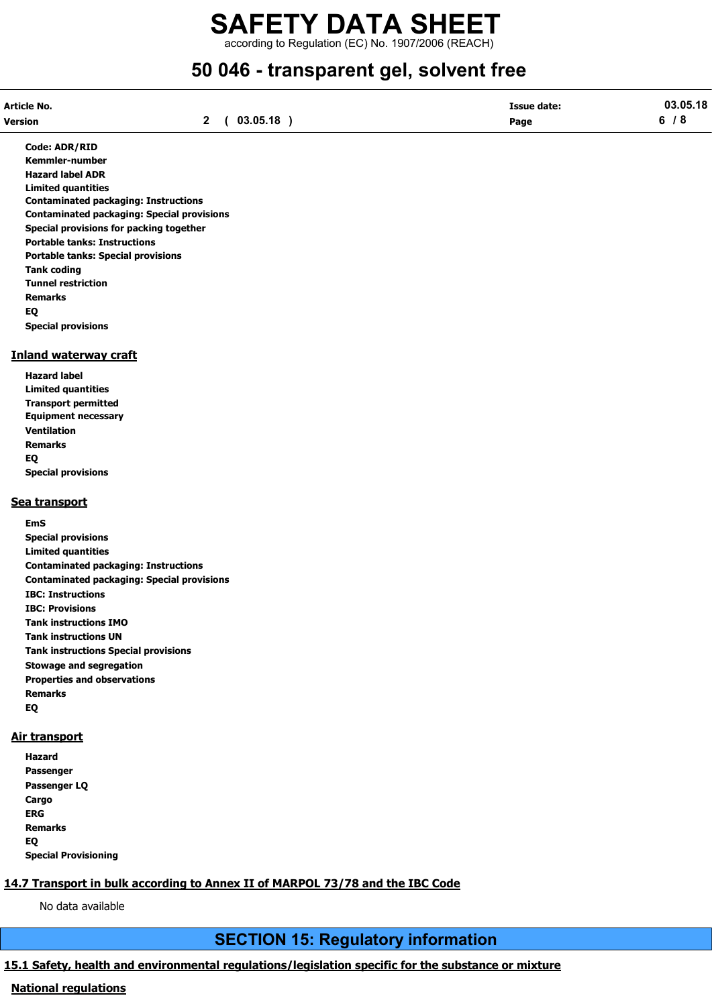according to Regulation (EC) No. 1907/2006 (REACH)

# 50 046 - transparent gel, solvent free

| Article No. |          | <b>Issue date:</b> | 03.05.18 |
|-------------|----------|--------------------|----------|
| Version     | 03.05.18 | Page               | o        |

Code: ADR/RID Kemmler-number Hazard label ADR Limited quantities Contaminated packaging: Instructions Contaminated packaging: Special provisions Special provisions for packing together Portable tanks: Instructions Portable tanks: Special provisions Tank coding Tunnel restriction Remarks EQ Special provisions

#### Inland waterway craft

Hazard label Limited quantities Transport permitted Equipment necessary Ventilation Remarks EQ Special provisions

#### Sea transport

EmS Special provisions Limited quantities Contaminated packaging: Instructions Contaminated packaging: Special provisions IBC: Instructions IBC: Provisions Tank instructions IMO Tank instructions UN Tank instructions Special provisions Stowage and segregation Properties and observations Remarks EQ

#### Air transport

Hazard Passenger Passenger LQ **Cargo** ERG Remarks EQ Special Provisioning

### 14.7 Transport in bulk according to Annex II of MARPOL 73/78 and the IBC Code

No data available

# SECTION 15: Regulatory information

## 15.1 Safety, health and environmental regulations/legislation specific for the substance or mixture

#### National regulations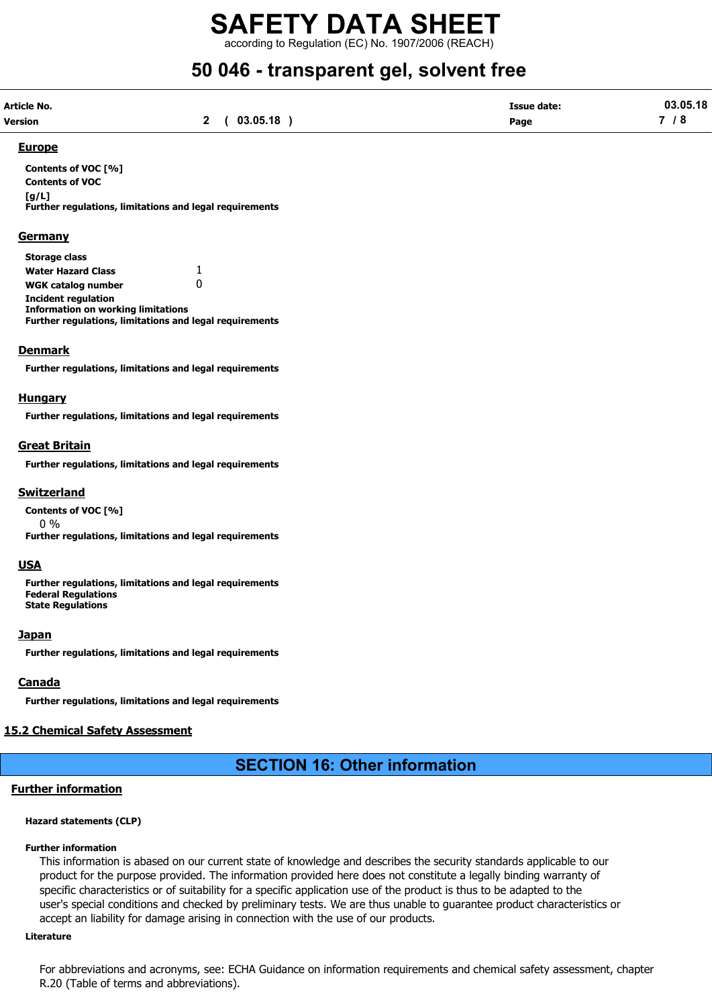according to Regulation (EC) No. 1907/2006 (REACH)

# 50 046 - transparent gel, solvent free

| Article No. |              | <b>Issue date:</b> | 03.05.18 |
|-------------|--------------|--------------------|----------|
| Version     | 2 ( 03.05.18 | Page               | 7 / 8    |

#### Europe

Contents of VOC [%] Contents of VOC  $[a/L]$ Further regulations, limitations and legal requirements

#### **Germany**

| Storage class                                                  |   |
|----------------------------------------------------------------|---|
| <b>Water Hazard Class</b>                                      | 1 |
| WGK catalog number                                             |   |
| <b>Incident regulation</b>                                     |   |
| <b>Information on working limitations</b>                      |   |
| <b>Further regulations, limitations and legal requirements</b> |   |

#### Denmark

Further regulations, limitations and legal requirements

#### **Hungary**

Further regulations, limitations and legal requirements

#### Great Britain

Further regulations, limitations and legal requirements

#### Switzerland

Contents of VOC [%]

 $0\%$ Further regulations, limitations and legal requirements

#### **USA**

Further regulations, limitations and legal requirements Federal Regulations State Regulations

#### Japan

Further regulations, limitations and legal requirements

#### **Canada**

Further regulations, limitations and legal requirements

#### 15.2 Chemical Safety Assessment

# SECTION 16: Other information

#### Further information

#### Hazard statements (CLP)

#### Further information

This information is abased on our current state of knowledge and describes the security standards applicable to our product for the purpose provided. The information provided here does not constitute a legally binding warranty of specific characteristics or of suitability for a specific application use of the product is thus to be adapted to the user's special conditions and checked by preliminary tests. We are thus unable to guarantee product characteristics or accept an liability for damage arising in connection with the use of our products.

#### Literature

For abbreviations and acronyms, see: ECHA Guidance on information requirements and chemical safety assessment, chapter R.20 (Table of terms and abbreviations).